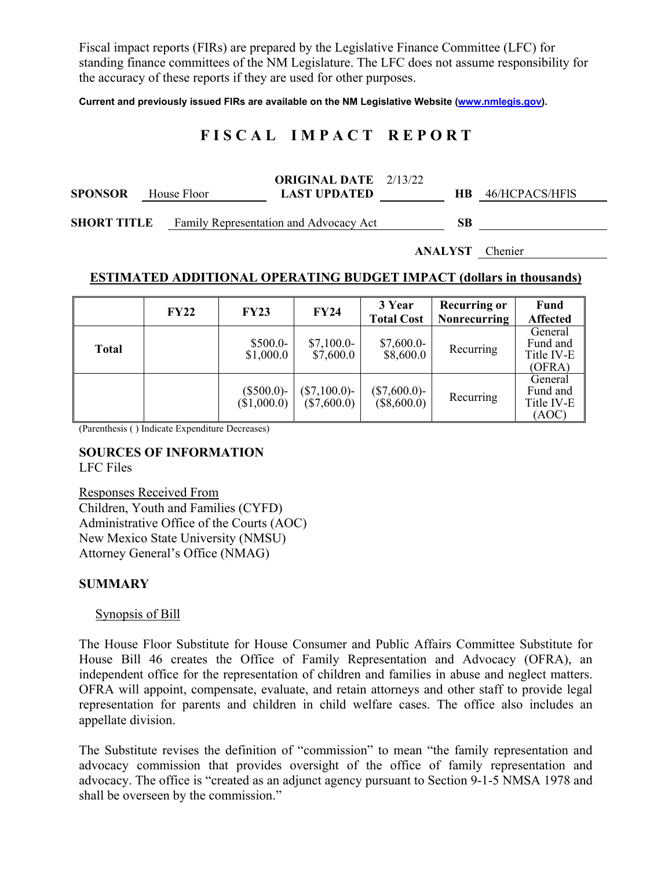Fiscal impact reports (FIRs) are prepared by the Legislative Finance Committee (LFC) for standing finance committees of the NM Legislature. The LFC does not assume responsibility for the accuracy of these reports if they are used for other purposes.

**Current and previously issued FIRs are available on the NM Legislative Website (www.nmlegis.gov).** 

# **F I S C A L I M P A C T R E P O R T**

| <b>SPONSOR</b><br>House Floor |  | <b>ORIGINAL DATE</b> 2/13/22<br><b>LAST UPDATED</b> |  |    | 46/HCPACS/HFIS |  |
|-------------------------------|--|-----------------------------------------------------|--|----|----------------|--|
| <b>SHORT TITLE</b>            |  | Family Representation and Advocacy Act              |  | SB |                |  |

**ANALYST** Chenier

#### **ESTIMATED ADDITIONAL OPERATING BUDGET IMPACT (dollars in thousands)**

|              | <b>FY22</b> | <b>FY23</b>                  | <b>FY24</b>                    | 3 Year<br><b>Total Cost</b>    | <b>Recurring or</b><br>Nonrecurring | Fund<br><b>Affected</b>                     |
|--------------|-------------|------------------------------|--------------------------------|--------------------------------|-------------------------------------|---------------------------------------------|
| <b>Total</b> |             | $$500.0-$<br>\$1,000.0       | $$7,100.0-$<br>\$7,600.0       | $$7,600.0-$<br>\$8,600.0       | Recurring                           | General<br>Fund and<br>Title IV-E<br>(OFRA) |
|              |             | $(\$500.0)$ -<br>(\$1,000.0) | $(\$7,100.0)$ -<br>(\$7,600.0) | $(\$7,600.0)$ -<br>(\$8,600.0) | Recurring                           | General<br>Fund and<br>Title IV-E<br>(AOC)  |

(Parenthesis ( ) Indicate Expenditure Decreases)

#### **SOURCES OF INFORMATION**  LFC Files

Responses Received From Children, Youth and Families (CYFD) Administrative Office of the Courts (AOC) New Mexico State University (NMSU) Attorney General's Office (NMAG)

### **SUMMARY**

### Synopsis of Bill

The House Floor Substitute for House Consumer and Public Affairs Committee Substitute for House Bill 46 creates the Office of Family Representation and Advocacy (OFRA), an independent office for the representation of children and families in abuse and neglect matters. OFRA will appoint, compensate, evaluate, and retain attorneys and other staff to provide legal representation for parents and children in child welfare cases. The office also includes an appellate division.

The Substitute revises the definition of "commission" to mean "the family representation and advocacy commission that provides oversight of the office of family representation and advocacy. The office is "created as an adjunct agency pursuant to Section 9-1-5 NMSA 1978 and shall be overseen by the commission."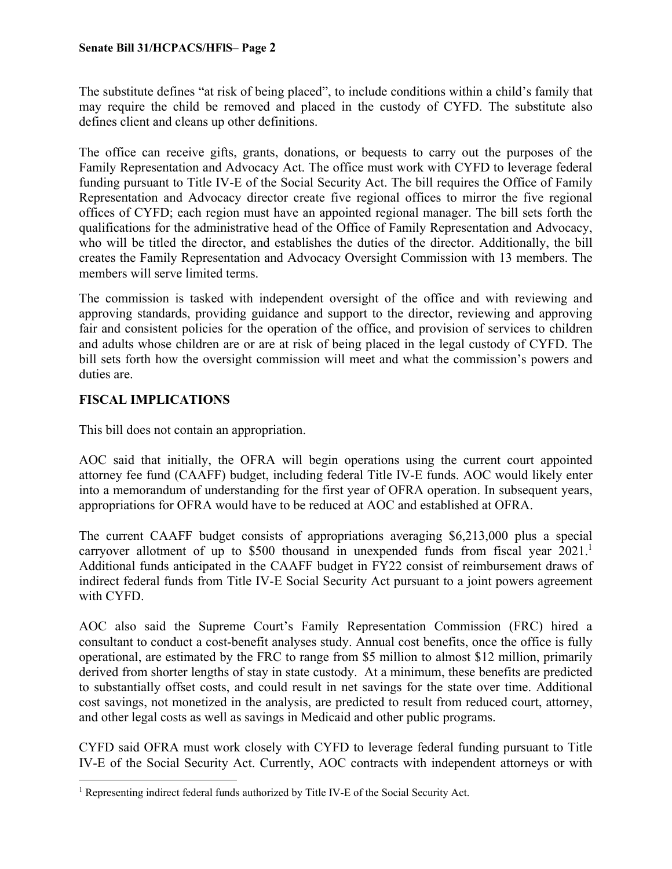The substitute defines "at risk of being placed", to include conditions within a child's family that may require the child be removed and placed in the custody of CYFD. The substitute also defines client and cleans up other definitions.

The office can receive gifts, grants, donations, or bequests to carry out the purposes of the Family Representation and Advocacy Act. The office must work with CYFD to leverage federal funding pursuant to Title IV-E of the Social Security Act. The bill requires the Office of Family Representation and Advocacy director create five regional offices to mirror the five regional offices of CYFD; each region must have an appointed regional manager. The bill sets forth the qualifications for the administrative head of the Office of Family Representation and Advocacy, who will be titled the director, and establishes the duties of the director. Additionally, the bill creates the Family Representation and Advocacy Oversight Commission with 13 members. The members will serve limited terms.

The commission is tasked with independent oversight of the office and with reviewing and approving standards, providing guidance and support to the director, reviewing and approving fair and consistent policies for the operation of the office, and provision of services to children and adults whose children are or are at risk of being placed in the legal custody of CYFD. The bill sets forth how the oversight commission will meet and what the commission's powers and duties are.

### **FISCAL IMPLICATIONS**

This bill does not contain an appropriation.

AOC said that initially, the OFRA will begin operations using the current court appointed attorney fee fund (CAAFF) budget, including federal Title IV-E funds. AOC would likely enter into a memorandum of understanding for the first year of OFRA operation. In subsequent years, appropriations for OFRA would have to be reduced at AOC and established at OFRA.

The current CAAFF budget consists of appropriations averaging \$6,213,000 plus a special carryover allotment of up to \$500 thousand in unexpended funds from fiscal year  $2021$ .<sup>1</sup> Additional funds anticipated in the CAAFF budget in FY22 consist of reimbursement draws of indirect federal funds from Title IV-E Social Security Act pursuant to a joint powers agreement with CYFD.

AOC also said the Supreme Court's Family Representation Commission (FRC) hired a consultant to conduct a cost-benefit analyses study. Annual cost benefits, once the office is fully operational, are estimated by the FRC to range from \$5 million to almost \$12 million, primarily derived from shorter lengths of stay in state custody. At a minimum, these benefits are predicted to substantially offset costs, and could result in net savings for the state over time. Additional cost savings, not monetized in the analysis, are predicted to result from reduced court, attorney, and other legal costs as well as savings in Medicaid and other public programs.

CYFD said OFRA must work closely with CYFD to leverage federal funding pursuant to Title IV-E of the Social Security Act. Currently, AOC contracts with independent attorneys or with

 $\overline{a}$ <sup>1</sup> Representing indirect federal funds authorized by Title IV-E of the Social Security Act.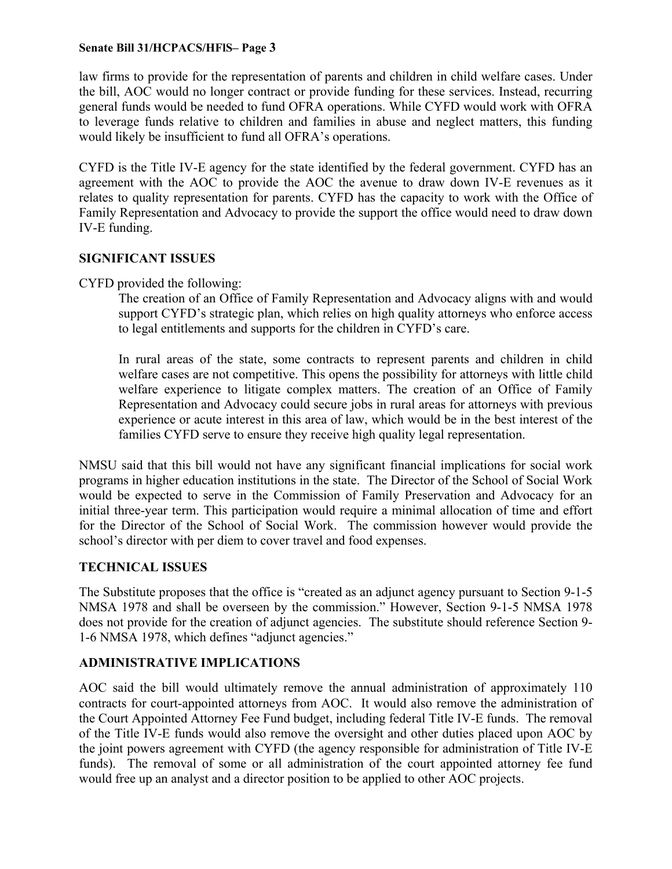### **Senate Bill 31/HCPACS/HFlS– Page 3**

law firms to provide for the representation of parents and children in child welfare cases. Under the bill, AOC would no longer contract or provide funding for these services. Instead, recurring general funds would be needed to fund OFRA operations. While CYFD would work with OFRA to leverage funds relative to children and families in abuse and neglect matters, this funding would likely be insufficient to fund all OFRA's operations.

CYFD is the Title IV-E agency for the state identified by the federal government. CYFD has an agreement with the AOC to provide the AOC the avenue to draw down IV-E revenues as it relates to quality representation for parents. CYFD has the capacity to work with the Office of Family Representation and Advocacy to provide the support the office would need to draw down IV-E funding.

### **SIGNIFICANT ISSUES**

CYFD provided the following:

The creation of an Office of Family Representation and Advocacy aligns with and would support CYFD's strategic plan, which relies on high quality attorneys who enforce access to legal entitlements and supports for the children in CYFD's care.

In rural areas of the state, some contracts to represent parents and children in child welfare cases are not competitive. This opens the possibility for attorneys with little child welfare experience to litigate complex matters. The creation of an Office of Family Representation and Advocacy could secure jobs in rural areas for attorneys with previous experience or acute interest in this area of law, which would be in the best interest of the families CYFD serve to ensure they receive high quality legal representation.

NMSU said that this bill would not have any significant financial implications for social work programs in higher education institutions in the state. The Director of the School of Social Work would be expected to serve in the Commission of Family Preservation and Advocacy for an initial three-year term. This participation would require a minimal allocation of time and effort for the Director of the School of Social Work. The commission however would provide the school's director with per diem to cover travel and food expenses.

## **TECHNICAL ISSUES**

The Substitute proposes that the office is "created as an adjunct agency pursuant to Section 9-1-5 NMSA 1978 and shall be overseen by the commission." However, Section 9-1-5 NMSA 1978 does not provide for the creation of adjunct agencies. The substitute should reference Section 9- 1-6 NMSA 1978, which defines "adjunct agencies."

## **ADMINISTRATIVE IMPLICATIONS**

AOC said the bill would ultimately remove the annual administration of approximately 110 contracts for court-appointed attorneys from AOC. It would also remove the administration of the Court Appointed Attorney Fee Fund budget, including federal Title IV-E funds. The removal of the Title IV-E funds would also remove the oversight and other duties placed upon AOC by the joint powers agreement with CYFD (the agency responsible for administration of Title IV-E funds). The removal of some or all administration of the court appointed attorney fee fund would free up an analyst and a director position to be applied to other AOC projects.